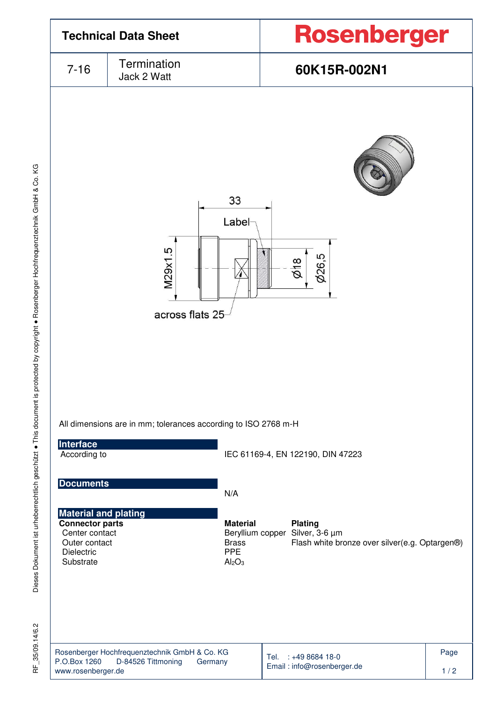

 $35/09.14/6.2$ 눈